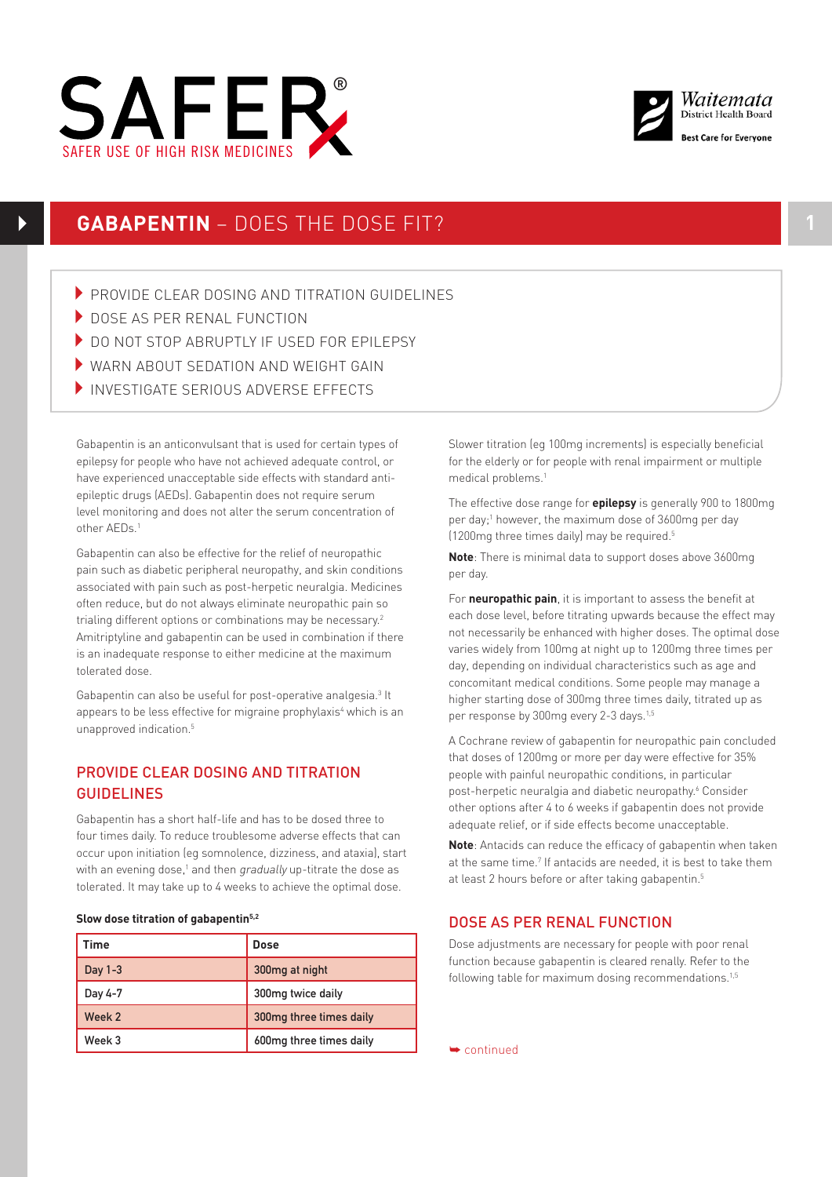



# **GABAPENTIN** – DOES THE DOSE FIT? **1**

- PROVIDE CLEAR DOSING AND TITRATION GUIDELINES
- DOSE AS PER RENAL FUNCTION
- ▶ DO NOT STOP ABRUPTLY IF USED FOR FPILEPSY
- WARN ABOUT SEDATION AND WEIGHT GAIN
- SAFER USE OF HIGH RISK MEDICINES INVESTIGATE SERIOUS ADVERSE EFFECTS

Gabapentin is an anticonvulsant that is used for certain types of epilepsy for people who have not achieved adequate control, or have experienced unacceptable side effects with standard antiepileptic drugs (AEDs). Gabapentin does not require serum level monitoring and does not alter the serum concentration of other AEDs.1

Gabapentin can also be effective for the relief of neuropathic pain such as diabetic peripheral neuropathy, and skin conditions associated with pain such as post-herpetic neuralgia. Medicines often reduce, but do not always eliminate neuropathic pain so trialing different options or combinations may be necessary.<sup>2</sup> Amitriptyline and gabapentin can be used in combination if there is an inadequate response to either medicine at the maximum tolerated dose.

Gabapentin can also be useful for post-operative analgesia.<sup>3</sup> It appears to be less effective for migraine prophylaxis<sup>4</sup> which is an unapproved indication.<sup>5</sup>

## PROVIDE CLEAR DOSING AND TITRATION GUIDELINES

Gabapentin has a short half-life and has to be dosed three to four times daily. To reduce troublesome adverse effects that can occur upon initiation (eg somnolence, dizziness, and ataxia), start with an evening dose,1 and then *gradually* up-titrate the dose as tolerated. It may take up to 4 weeks to achieve the optimal dose.

#### **Slow dose titration of gabapentin5,2**

| Time      | Dose                    |
|-----------|-------------------------|
| Day $1-3$ | 300mg at night          |
| Day 4-7   | 300mg twice daily       |
| Week 2    | 300mg three times daily |
| Week 3    | 600mg three times daily |

Slower titration (eg 100mg increments) is especially beneficial for the elderly or for people with renal impairment or multiple medical problems.1

The effective dose range for **epilepsy** is generally 900 to 1800mg per day;<sup>1</sup> however, the maximum dose of 3600mg per day (1200mg three times daily) may be required.5

**Note**: There is minimal data to support doses above 3600mg per day.

For **neuropathic pain**, it is important to assess the benefit at each dose level, before titrating upwards because the effect may not necessarily be enhanced with higher doses. The optimal dose varies widely from 100mg at night up to 1200mg three times per day, depending on individual characteristics such as age and concomitant medical conditions. Some people may manage a higher starting dose of 300mg three times daily, titrated up as per response by 300mg every 2-3 days.<sup>1,5</sup>

A Cochrane review of gabapentin for neuropathic pain concluded that doses of 1200mg or more per day were effective for 35% people with painful neuropathic conditions, in particular post-herpetic neuralgia and diabetic neuropathy.<sup>6</sup> Consider other options after 4 to 6 weeks if gabapentin does not provide adequate relief, or if side effects become unacceptable.

**Note**: Antacids can reduce the efficacy of gabapentin when taken at the same time.<sup>7</sup> If antacids are needed, it is best to take them at least 2 hours before or after taking gabapentin.5

### DOSE AS PER RENAL FUNCTION

Dose adjustments are necessary for people with poor renal function because gabapentin is cleared renally. Refer to the following table for maximum dosing recommendations.<sup>1,5</sup>

➥ continued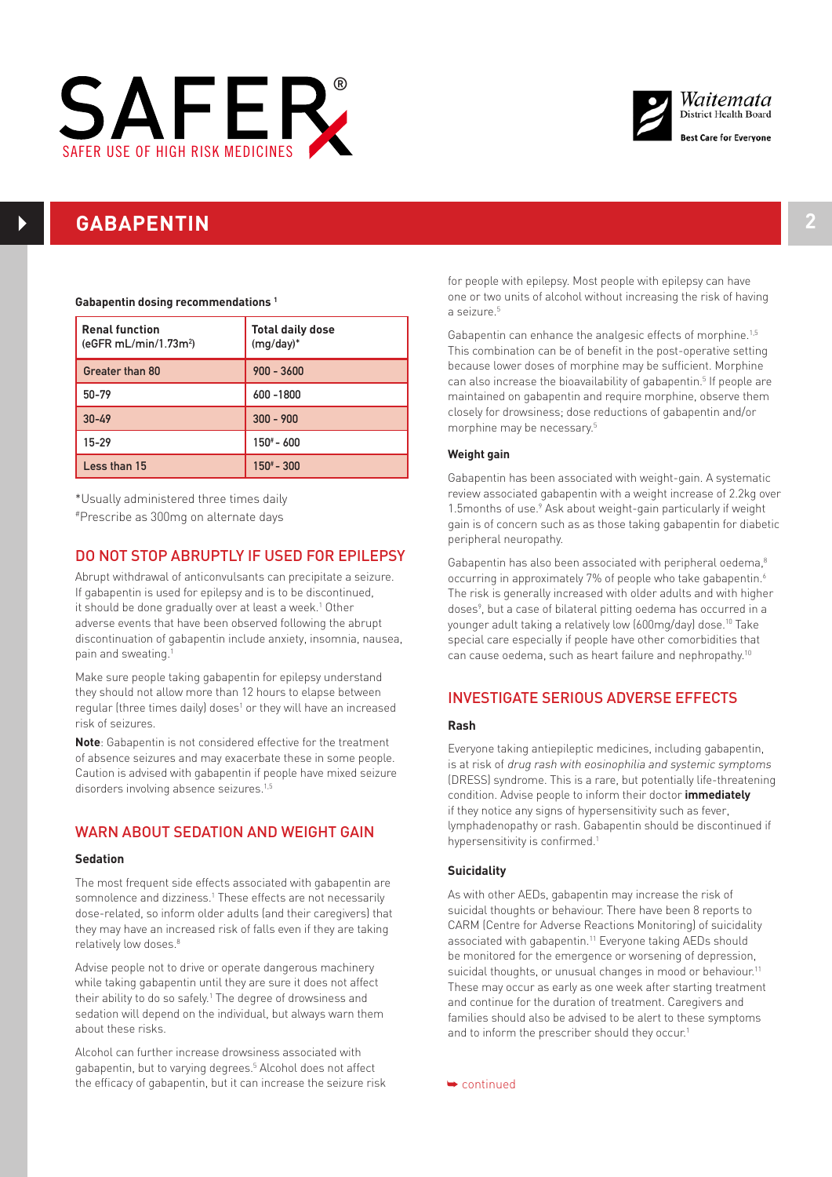



## **GABAPENTIN 2**

#### **Gabapentin dosing recommendations 1**

| <b>Renal function</b><br>(eGFR mL/min/1.73m <sup>2</sup> ) | <b>Total daily dose</b><br>$(mg/day)^*$ |
|------------------------------------------------------------|-----------------------------------------|
| Greater than 80                                            | $900 - 3600$                            |
| 50-79                                                      | 600 - 1800                              |
| $30 - 49$                                                  | $300 - 900$                             |
| $15 - 29$                                                  | $150^{\circ}$ - 600                     |
| Less than 15                                               | $150^{\#} - 300$                        |

\*Usually administered three times daily #Prescribe as 300mg on alternate days

### DO NOT STOP ABRUPTLY IF USED FOR EPILEPSY

Abrupt withdrawal of anticonvulsants can precipitate a seizure. If gabapentin is used for epilepsy and is to be discontinued, it should be done gradually over at least a week.<sup>1</sup> Other adverse events that have been observed following the abrupt discontinuation of gabapentin include anxiety, insomnia, nausea, pain and sweating.1

Make sure people taking gabapentin for epilepsy understand they should not allow more than 12 hours to elapse between regular (three times daily) doses<sup>1</sup> or they will have an increased risk of seizures.

**Note**: Gabapentin is not considered effective for the treatment of absence seizures and may exacerbate these in some people. Caution is advised with gabapentin if people have mixed seizure disorders involving absence seizures.<sup>1,5</sup>

## WARN ABOUT SEDATION AND WEIGHT GAIN

#### **Sedation**

The most frequent side effects associated with gabapentin are somnolence and dizziness.<sup>1</sup> These effects are not necessarily dose-related, so inform older adults (and their caregivers) that they may have an increased risk of falls even if they are taking relatively low doses.<sup>8</sup>

Advise people not to drive or operate dangerous machinery while taking gabapentin until they are sure it does not affect their ability to do so safely.<sup>1</sup> The degree of drowsiness and sedation will depend on the individual, but always warn them about these risks.

Alcohol can further increase drowsiness associated with gabapentin, but to varying degrees.5 Alcohol does not affect the efficacy of gabapentin, but it can increase the seizure risk for people with epilepsy. Most people with epilepsy can have one or two units of alcohol without increasing the risk of having a seizure.<sup>5</sup>

Gabapentin can enhance the analgesic effects of morphine.<sup>1,5</sup> This combination can be of benefit in the post-operative setting because lower doses of morphine may be sufficient. Morphine can also increase the bioavailability of gabapentin.<sup>5</sup> If people are maintained on gabapentin and require morphine, observe them closely for drowsiness; dose reductions of gabapentin and/or morphine may be necessary.5

#### **Weight gain**

Gabapentin has been associated with weight-gain. A systematic review associated gabapentin with a weight increase of 2.2kg over 1.5 months of use.<sup>9</sup> Ask about weight-gain particularly if weight gain is of concern such as as those taking gabapentin for diabetic peripheral neuropathy.

Gabapentin has also been associated with peripheral oedema,<sup>8</sup> occurring in approximately 7% of people who take gabapentin.<sup>6</sup> The risk is generally increased with older adults and with higher doses<sup>9</sup>, but a case of bilateral pitting oedema has occurred in a younger adult taking a relatively low (600mg/day) dose.10 Take special care especially if people have other comorbidities that can cause oedema, such as heart failure and nephropathy.10

## INVESTIGATE SERIOUS ADVERSE EFFECTS

#### **Rash**

Everyone taking antiepileptic medicines, including gabapentin, is at risk of drug rash with eosinophilia and systemic symptoms (DRESS) syndrome. This is a rare, but potentially life-threatening condition. Advise people to inform their doctor **immediately** if they notice any signs of hypersensitivity such as fever, lymphadenopathy or rash. Gabapentin should be discontinued if hypersensitivity is confirmed.<sup>1</sup>

#### **Suicidality**

As with other AEDs, gabapentin may increase the risk of suicidal thoughts or behaviour. There have been 8 reports to CARM (Centre for Adverse Reactions Monitoring) of suicidality associated with gabapentin.<sup>11</sup> Everyone taking AEDs should be monitored for the emergence or worsening of depression, suicidal thoughts, or unusual changes in mood or behaviour.<sup>11</sup> These may occur as early as one week after starting treatment and continue for the duration of treatment. Caregivers and families should also be advised to be alert to these symptoms and to inform the prescriber should they occur.<sup>1</sup>

➥ continued